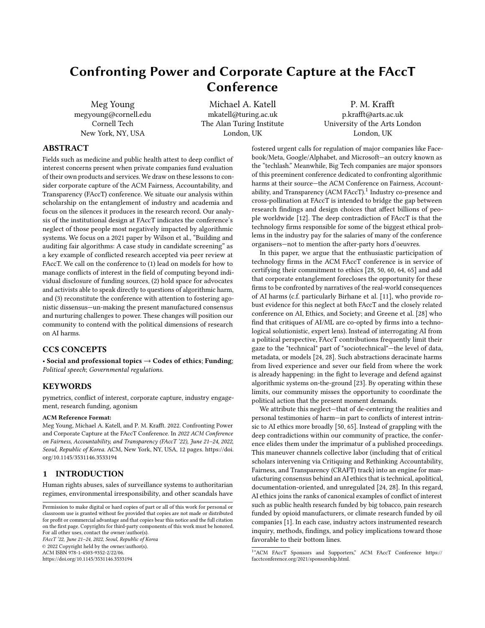# Confronting Power and Corporate Capture at the FAccT Conference

[Meg Young](https://orcid.org/0000-0001-8570-2180) megyoung@cornell.edu Cornell Tech New York, NY, USA

[Michael A. Katell](https://orcid.org/0000-0003-2200-6246) mkatell@turing.ac.uk The Alan Turing Institute London, UK

[P. M. Krafft](https://orcid.org/0000-0001-8570-2180) p.krafft@arts.ac.uk University of the Arts London London, UK

# ABSTRACT

Fields such as medicine and public health attest to deep conflict of interest concerns present when private companies fund evaluation of their own products and services. We draw on these lessons to consider corporate capture of the ACM Fairness, Accountability, and Transparency (FAccT) conference. We situate our analysis within scholarship on the entanglement of industry and academia and focus on the silences it produces in the research record. Our analysis of the institutional design at FAccT indicates the conference's neglect of those people most negatively impacted by algorithmic systems. We focus on a 2021 paper by Wilson et al., "Building and auditing fair algorithms: A case study in candidate screening" as a key example of conflicted research accepted via peer review at FAccT. We call on the conference to (1) lead on models for how to manage conflicts of interest in the field of computing beyond individual disclosure of funding sources, (2) hold space for advocates and activists able to speak directly to questions of algorithmic harm, and (3) reconstitute the conference with attention to fostering agonistic dissensus—un-making the present manufactured consensus and nurturing challenges to power. These changes will position our community to contend with the political dimensions of research on AI harms.

## CCS CONCEPTS

• Social and professional topics  $\rightarrow$  Codes of ethics; Funding; Political speech; Governmental regulations.

# KEYWORDS

pymetrics, conflict of interest, corporate capture, industry engagement, research funding, agonism

#### ACM Reference Format:

Meg Young, Michael A. Katell, and P. M. Krafft. 2022. Confronting Power and Corporate Capture at the FAccT Conference. In 2022 ACM Conference on Fairness, Accountability, and Transparency (FAccT '22), June 21–24, 2022, Seoul, Republic of Korea. ACM, New York, NY, USA, [12](#page-11-0) pages. [https://doi.](https://doi.org/10.1145/3531146.3533194) [org/10.1145/3531146.3533194](https://doi.org/10.1145/3531146.3533194)

# 1 INTRODUCTION

Human rights abuses, sales of surveillance systems to authoritarian regimes, environmental irresponsibility, and other scandals have

FAccT '22, June 21–24, 2022, Seoul, Republic of Korea © 2022 Copyright held by the owner/author(s). ACM ISBN 978-1-4503-9352-2/22/06. <https://doi.org/10.1145/3531146.3533194>

fostered urgent calls for regulation of major companies like Facebook/Meta, Google/Alphabet, and Microsoft—an outcry known as the "techlash." Meanwhile, Big Tech companies are major sponsors of this preeminent conference dedicated to confronting algorithmic harms at their source—the ACM Conference on Fairness, Account-ability, and Transparency (ACM FAccT).<sup>[1](#page-0-0)</sup> Industry co-presence and cross-pollination at FAccT is intended to bridge the gap between research findings and design choices that affect billions of people worldwide [\[12\]](#page-9-0). The deep contradiction of FAccT is that the technology firms responsible for some of the biggest ethical problems in the industry pay for the salaries of many of the conference organisers—not to mention the after-party hors d'oeuvres.

In this paper, we argue that the enthusiastic participation of technology firms in the ACM FAccT conference is in service of certifying their commitment to ethics [\[28,](#page-10-0) [50,](#page-10-1) [60,](#page-10-2) [64,](#page-11-1) [65\]](#page-11-2) and add that corporate entanglement forecloses the opportunity for these firms to be confronted by narratives of the real-world consequences of AI harms (c.f. particularly Birhane et al. [\[11\]](#page-9-1), who provide robust evidence for this neglect at both FAccT and the closely related conference on AI, Ethics, and Society; and Greene et al. [\[28\]](#page-10-0) who find that critiques of AI/ML are co-opted by firms into a technological solutionistic, expert lens). Instead of interrogating AI from a political perspective, FAccT contributions frequently limit their gaze to the "technical" part of "sociotechnical"—the level of data, metadata, or models [\[24,](#page-10-3) [28\]](#page-10-0). Such abstractions deracinate harms from lived experience and sever our field from where the work is already happening: in the fight to leverage and defend against algorithmic systems on-the-ground [\[23\]](#page-10-4). By operating within these limits, our community misses the opportunity to coordinate the political action that the present moment demands.

We attribute this neglect—that of de-centering the realities and personal testimonies of harm—in part to conflicts of interest intrinsic to AI ethics more broadly [\[50,](#page-10-1) [65\]](#page-11-2). Instead of grappling with the deep contradictions within our community of practice, the conference elides them under the imprimatur of a published proceedings. This maneuver channels collective labor (including that of critical scholars intervening via Critiquing and Rethinking Accountability, Fairness, and Transparency (CRAFT) track) into an engine for manufacturing consensus behind an AI ethics that is technical, apolitical, documentation-oriented, and unregulated [\[24,](#page-10-3) [28\]](#page-10-0). In this regard, AI ethics joins the ranks of canonical examples of conflict of interest such as public health research funded by big tobacco, pain research funded by opioid manufacturers, or climate research funded by oil companies [\[1\]](#page-9-2). In each case, industry actors instrumented research inquiry, methods, findings, and policy implications toward those favorable to their bottom lines.

Permission to make digital or hard copies of part or all of this work for personal or classroom use is granted without fee provided that copies are not made or distributed for profit or commercial advantage and that copies bear this notice and the full citation on the first page. Copyrights for third-party components of this work must be honored. For all other uses, contact the owner/author(s).

<span id="page-0-0"></span><sup>1</sup> "ACM FAccT Sponsors and Supporters," ACM FAccT Conference [https://](https://facctconference.org/2021/sponsorship.html) [facctconference.org/2021/sponsorship.html.](https://facctconference.org/2021/sponsorship.html)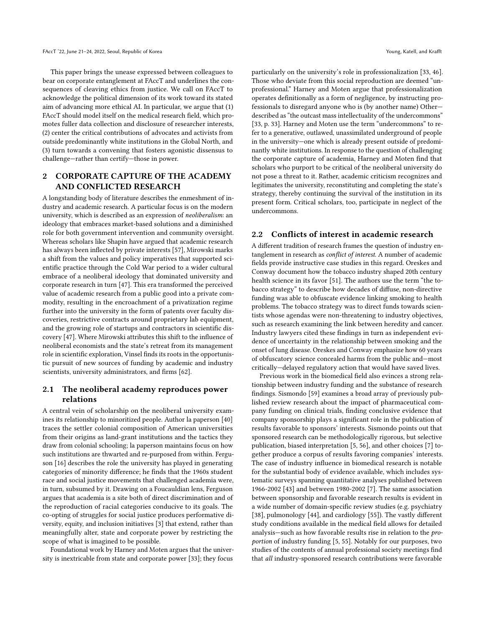This paper brings the unease expressed between colleagues to bear on corporate entanglement at FAccT and underlines the consequences of cleaving ethics from justice. We call on FAccT to acknowledge the political dimension of its work toward its stated aim of advancing more ethical AI. In particular, we argue that (1) FAccT should model itself on the medical research field, which promotes fuller data collection and disclosure of researcher interests, (2) center the critical contributions of advocates and activists from outside predominantly white institutions in the Global North, and (3) turn towards a convening that fosters agonistic dissensus to challenge—rather than certify—those in power.

# 2 CORPORATE CAPTURE OF THE ACADEMY AND CONFLICTED RESEARCH

A longstanding body of literature describes the enmeshment of industry and academic research. A particular focus is on the modern university, which is described as an expression of neoliberalism: an ideology that embraces market-based solutions and a diminished role for both government intervention and community oversight. Whereas scholars like Shapin have argued that academic research has always been inflected by private interests [\[57\]](#page-10-5), Mirowski marks a shift from the values and policy imperatives that supported scientific practice through the Cold War period to a wider cultural embrace of a neoliberal ideology that dominated university and corporate research in turn [\[47\]](#page-10-6). This era transformed the perceived value of academic research from a public good into a private commodity, resulting in the encroachment of a privatization regime further into the university in the form of patents over faculty discoveries, restrictive contracts around proprietary lab equipment, and the growing role of startups and contractors in scientific discovery [\[47\]](#page-10-6). Where Mirowski attributes this shift to the influence of neoliberal economists and the state's retreat from its management role in scientific exploration, Vinsel finds its roots in the opportunistic pursuit of new sources of funding by academic and industry scientists, university administrators, and firms [\[62\]](#page-10-7).

## 2.1 The neoliberal academy reproduces power relations

A central vein of scholarship on the neoliberal university examines its relationship to minoritized people. Author la paperson [\[40\]](#page-10-8) traces the settler colonial composition of American universities from their origins as land-grant institutions and the tactics they draw from colonial schooling; la paperson maintains focus on how such institutions are thwarted and re-purposed from within. Ferguson [\[16\]](#page-10-9) describes the role the university has played in generating categories of minority difference; he finds that the 1960s student race and social justice movements that challenged academia were, in turn, subsumed by it. Drawing on a Foucauldian lens, Ferguson argues that academia is a site both of direct discrimination and of the reproduction of racial categories conducive to its goals. The co-opting of struggles for social justice produces performative diversity, equity, and inclusion initiatives [\[3\]](#page-9-3) that extend, rather than meaningfully alter, state and corporate power by restricting the scope of what is imagined to be possible.

Foundational work by Harney and Moten argues that the university is inextricable from state and corporate power [\[33\]](#page-10-10); they focus

particularly on the university's role in professionalization [\[33,](#page-10-10) [46\]](#page-10-11). Those who deviate from this social reproduction are deemed "unprofessional." Harney and Moten argue that professionalization operates definitionally as a form of negligence, by instructing professionals to disregard anyone who is (by another name) Other described as "the outcast mass intellectuality of the undercommons" [\[33,](#page-10-10) p. 33]. Harney and Moten use the term "undercommons" to refer to a generative, outlawed, unassimilated underground of people in the university—one which is already present outside of predominantly white institutions. In response to the question of challenging the corporate capture of academia, Harney and Moten find that scholars who purport to be critical of the neoliberal university do not pose a threat to it. Rather, academic criticism recognizes and legitimates the university, reconstituting and completing the state's strategy, thereby continuing the survival of the institution in its present form. Critical scholars, too, participate in neglect of the undercommons.

## 2.2 Conflicts of interest in academic research

A different tradition of research frames the question of industry entanglement in research as conflict of interest. A number of academic fields provide instructive case studies in this regard. Oreskes and Conway document how the tobacco industry shaped 20th century health science in its favor [\[51\]](#page-10-12). The authors use the term "the tobacco strategy" to describe how decades of diffuse, non-directive funding was able to obfuscate evidence linking smoking to health problems. The tobacco strategy was to direct funds towards scientists whose agendas were non-threatening to industry objectives, such as research examining the link between heredity and cancer. Industry lawyers cited these findings in turn as independent evidence of uncertainty in the relationship between smoking and the onset of lung disease. Oreskes and Conway emphasize how 60 years of obfuscatory science concealed harms from the public and—most critically—delayed regulatory action that would have saved lives.

Previous work in the biomedical field also evinces a strong relationship between industry funding and the substance of research findings. Sismondo [\[59\]](#page-10-13) examines a broad array of previously published review research about the impact of pharmaceutical company funding on clinical trials, finding conclusive evidence that company sponsorship plays a significant role in the publication of results favorable to sponsors' interests. Sismondo points out that sponsored research can be methodologically rigorous, but selective publication, biased interpretation [\[5,](#page-9-4) [56\]](#page-10-14), and other choices [\[7\]](#page-9-5) together produce a corpus of results favoring companies' interests. The case of industry influence in biomedical research is notable for the substantial body of evidence available, which includes systematic surveys spanning quantitative analyses published between 1966-2002 [\[43\]](#page-10-15) and between 1980-2002 [\[7\]](#page-9-5). The same association between sponsorship and favorable research results is evident in a wide number of domain-specific review studies (e.g. psychiatry [\[38\]](#page-10-16), pulmonology [\[44\]](#page-10-17), and cardiology [\[55\]](#page-10-18)). The vastly different study conditions available in the medical field allows for detailed analysis—such as how favorable results rise in relation to the proportion of industry funding [\[5,](#page-9-4) [55\]](#page-10-18). Notably for our purposes, two studies of the contents of annual professional society meetings find that all industry-sponsored research contributions were favorable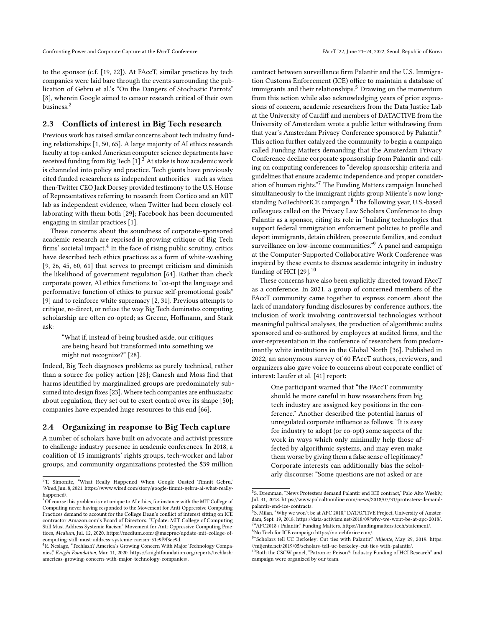to the sponsor (c.f. [\[19,](#page-10-19) [22\]](#page-10-20)). At FAccT, similar practices by tech companies were laid bare through the events surrounding the publication of Gebru et al.'s "On the Dangers of Stochastic Parrots" [\[8\]](#page-9-6), wherein Google aimed to censor research critical of their own business.[2](#page-2-0)

#### 2.3 Conflicts of interest in Big Tech research

Previous work has raised similar concerns about tech industry funding relationships [\[1,](#page-9-2) [50,](#page-10-1) [65\]](#page-11-2). A large majority of AI ethics research faculty at top-ranked American computer science departments have received funding from Big Tech [\[1\]](#page-9-2).<sup>[3](#page-2-1)</sup> At stake is how academic work is channeled into policy and practice. Tech giants have previously cited funded researchers as independent authorities—such as when then-Twitter CEO Jack Dorsey provided testimony to the U.S. House of Representatives referring to research from Cortico and an MIT lab as independent evidence, when Twitter had been closely collaborating with them both [\[29\]](#page-10-21); Facebook has been documented engaging in similar practices [\[1\]](#page-9-2).

These concerns about the soundness of corporate-sponsored academic research are reprised in growing critique of Big Tech firms' societal impact. $^4$  $^4$  In the face of rising public scrutiny, critics have described tech ethics practices as a form of white-washing [\[9,](#page-9-7) [26,](#page-10-22) [45,](#page-10-23) [60,](#page-10-2) [61\]](#page-10-24) that serves to preempt criticism and diminish the likelihood of government regulation [\[64\]](#page-11-1). Rather than check corporate power, AI ethics functions to "co-opt the language and performative function of ethics to pursue self-promotional goals" [\[9\]](#page-9-7) and to reinforce white supremacy [\[2,](#page-9-8) [31\]](#page-10-25). Previous attempts to critique, re-direct, or refuse the way Big Tech dominates computing scholarship are often co-opted; as Greene, Hoffmann, and Stark ask:

"What if, instead of being brushed aside, our critiques are being heard but transformed into something we might not recognize?" [\[28\]](#page-10-0).

Indeed, Big Tech diagnoses problems as purely technical, rather than a source for policy action [\[28\]](#page-10-0); Ganesh and Moss find that harms identified by marginalized groups are predominately subsumed into design fixes [\[23\]](#page-10-4). Where tech companies are enthusiastic about regulation, they set out to exert control over its shape [\[50\]](#page-10-1); companies have expended huge resources to this end [\[66\]](#page-11-3).

#### 2.4 Organizing in response to Big Tech capture

A number of scholars have built on advocate and activist pressure to challenge industry presence in academic conferences. In 2018, a coalition of 15 immigrants' rights groups, tech-worker and labor groups, and community organizations protested the \$39 million

contract between surveillance firm Palantir and the U.S. Immigration Customs Enforcement (ICE) office to maintain a database of immigrants and their relationships.<sup>[5](#page-2-3)</sup> Drawing on the momentum from this action while also acknowledging years of prior expressions of concern, academic researchers from the Data Justice Lab at the University of Cardiff and members of DATACTIVE from the University of Amsterdam wrote a public letter withdrawing from that year's Amsterdam Privacy Conference sponsored by Palantir.[6](#page-2-4) This action further catalyzed the community to begin a campaign called Funding Matters demanding that the Amsterdam Privacy Conference decline corporate sponsorship from Palantir and calling on computing conferences to "develop sponsorship criteria and guidelines that ensure academic independence and proper consider-ation of human rights."[7](#page-2-5) The Funding Matters campaign launched simultaneously to the immigrant rights group Mijente's now long-standing NoTechForICE campaign.<sup>[8](#page-2-6)</sup> The following year, U.S.-based colleagues called on the Privacy Law Scholars Conference to drop Palantir as a sponsor, citing its role in "building technologies that support federal immigration enforcement policies to profile and deport immigrants, detain children, prosecute families, and conduct surveillance on low-income communities."<sup>[9](#page-2-7)</sup> A panel and campaign at the Computer-Supported Collaborative Work Conference was inspired by these events to discuss academic integrity in industry funding of HCI  $[29]$ .<sup>[10](#page-2-8)</sup>

These concerns have also been explicitly directed toward FAccT as a conference. In 2021, a group of concerned members of the FAccT community came together to express concern about the lack of mandatory funding disclosures by conference authors, the inclusion of work involving controversial technologies without meaningful political analyses, the production of algorithmic audits sponsored and co-authored by employees at audited firms, and the over-representation in the conference of researchers from predominantly white institutions in the Global North [\[36\]](#page-10-26). Published in 2022, an anonymous survey of 60 FAccT authors, reviewers, and organizers also gave voice to concerns about corporate conflict of interest: Laufer et al. [\[41\]](#page-10-27) report:

> One participant warned that "the FAccT community should be more careful in how researchers from big tech industry are assigned key positions in the conference." Another described the potential harms of unregulated corporate influence as follows: "It is easy for industry to adopt (or co-opt) some aspects of the work in ways which only minimally help those affected by algorithmic systems, and may even make them worse by giving them a false sense of legitimacy." Corporate interests can additionally bias the scholarly discourse: "Some questions are not asked or are

<span id="page-2-0"></span><sup>&</sup>lt;sup>2</sup>T. Simonite, "What Really Happened When Google Ousted Timnit Gebru," Wired, Jun. 8, 2021. [https://www.wired.com/story/google-timnit-gebru-ai-what-really](https://www.wired.com/story/google-timnit-gebru-ai-what-really-happened/)[happened/.](https://www.wired.com/story/google-timnit-gebru-ai-what-really-happened/)

<span id="page-2-1"></span><sup>3</sup>Of course this problem is not unique to AI ethics, for instance with the MIT College of Computing never having responded to the Movement for Anti-Oppressive Computing Practices demand to account for the College Dean's conflict of interest sitting on ICE contractor Amazon.com's Board of Directors. "Update: MIT College of Computing Still Must Address Systemic Racism" Movement for Anti-Oppressive Computing Practices, Medium, Jul. 12, 2020. [https://medium.com/@macprac/update-mit-college-of](https://medium.com/@macprac/update-mit-college-of-computing-still-must-address-systemic-racism-51c9f9f3ec9d)[computing-still-must-address-systemic-racism-51c9f9f3ec9d.](https://medium.com/@macprac/update-mit-college-of-computing-still-must-address-systemic-racism-51c9f9f3ec9d)

<span id="page-2-2"></span><sup>&</sup>lt;sup>4</sup>R. Neslage, "Techlash? America's Growing Concern With Major Technology Companies," Knight Foundation, Mar. 11, 2020. [https://knightfoundation.org/reports/techlash](https://knightfoundation.org/reports/techlash-americas-growing-concern-with-major-technology-companies/)[americas-growing-concern-with-major-technology-companies/.](https://knightfoundation.org/reports/techlash-americas-growing-concern-with-major-technology-companies/)

<span id="page-2-3"></span><sup>5</sup> S. Dremman, "News Protesters demand Palantir end ICE contract," Palo Alto Weekly, Jul. 31, 2018. [https://www.paloaltoonline.com/news/2018/07/31/protesters-demand](https://www.paloaltoonline.com/news/2018/07/31/protesters-demand-palantir-end-ice-contracts)[palantir-end-ice-contracts.](https://www.paloaltoonline.com/news/2018/07/31/protesters-demand-palantir-end-ice-contracts)

<span id="page-2-4"></span><sup>&</sup>lt;sup>6</sup>S. Milan, "Why we won't be at APC 2018," DATACTIVE Project, University of Amsterdam, Sept. 19, 2018. [https://data-activism.net/2018/09/why-we-wont-be-at-apc-2018/.](https://data-activism.net/2018/09/why-we-wont-be-at-apc-2018/) 7 "APC2018 / Palantir," Funding Matters. [https://fundingmatters.tech/statement/.](https://fundingmatters.tech/statement/)

<span id="page-2-6"></span><span id="page-2-5"></span> $^8\rm{No}$  Tech for ICE campaign [https://notechforice.com/.](https://notechforice.com/)

<span id="page-2-7"></span><sup>&</sup>lt;sup>9</sup>"Scholars tell UC Berkeley: Cut ties with Palantir," Mijente, May 29, 2019. [https:](https://mijente.net/2019/05/scholars-tell-uc-berkeley-cut-ties-with-palantir/) [//mijente.net/2019/05/scholars-tell-uc-berkeley-cut-ties-with-palantir/.](https://mijente.net/2019/05/scholars-tell-uc-berkeley-cut-ties-with-palantir/)

<span id="page-2-8"></span><sup>&</sup>lt;sup>10</sup>Both the CSCW panel, "Patron or Poison?: Industry Funding of HCI Research" and campaign were organized by our team.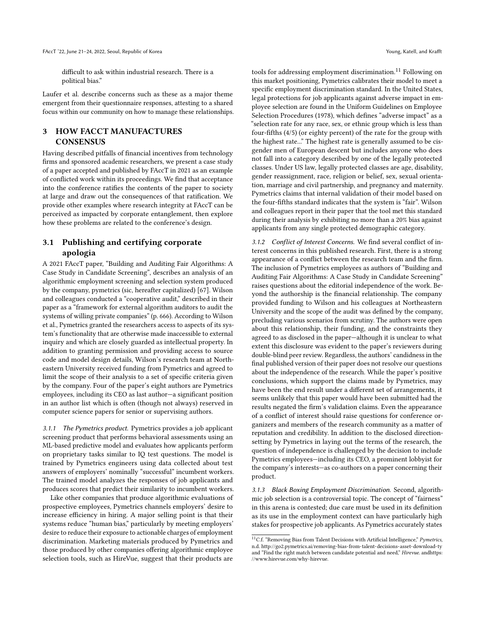difficult to ask within industrial research. There is a political bias."

Laufer et al. describe concerns such as these as a major theme emergent from their questionnaire responses, attesting to a shared focus within our community on how to manage these relationships.

# 3 HOW FACCT MANUFACTURES **CONSENSUS**

Having described pitfalls of financial incentives from technology firms and sponsored academic researchers, we present a case study of a paper accepted and published by FAccT in 2021 as an example of conflicted work within its proceedings. We find that acceptance into the conference ratifies the contents of the paper to society at large and draw out the consequences of that ratification. We provide other examples where research integrity at FAccT can be perceived as impacted by corporate entanglement, then explore how these problems are related to the conference's design.

## 3.1 Publishing and certifying corporate apologia

A 2021 FAccT paper, "Building and Auditing Fair Algorithms: A Case Study in Candidate Screening", describes an analysis of an algorithmic employment screening and selection system produced by the company, pymetrics (sic, hereafter capitalized) [\[67\]](#page-11-4). Wilson and colleagues conducted a "cooperative audit," described in their paper as a "framework for external algorithm auditors to audit the systems of willing private companies" (p. 666). According to Wilson et al., Pymetrics granted the researchers access to aspects of its system's functionality that are otherwise made inaccessible to external inquiry and which are closely guarded as intellectual property. In addition to granting permission and providing access to source code and model design details, Wilson's research team at Northeastern University received funding from Pymetrics and agreed to limit the scope of their analysis to a set of specific criteria given by the company. Four of the paper's eight authors are Pymetrics employees, including its CEO as last author—a significant position in an author list which is often (though not always) reserved in computer science papers for senior or supervising authors.

3.1.1 The Pymetrics product. Pymetrics provides a job applicant screening product that performs behavioral assessments using an ML-based predictive model and evaluates how applicants perform on proprietary tasks similar to IQ test questions. The model is trained by Pymetrics engineers using data collected about test answers of employers' nominally "successful" incumbent workers. The trained model analyzes the responses of job applicants and produces scores that predict their similarity to incumbent workers.

Like other companies that produce algorithmic evaluations of prospective employees, Pymetrics channels employers' desire to increase efficiency in hiring. A major selling point is that their systems reduce "human bias," particularly by meeting employers' desire to reduce their exposure to actionable charges of employment discrimination. Marketing materials produced by Pymetrics and those produced by other companies offering algorithmic employee selection tools, such as HireVue, suggest that their products are tools for addressing employment discrimination.<sup>[11](#page-3-0)</sup> Following on this market positioning, Pymetrics calibrates their model to meet a specific employment discrimination standard. In the United States, legal protections for job applicants against adverse impact in employee selection are found in the Uniform Guidelines on Employee Selection Procedures (1978), which defines "adverse impact" as a "selection rate for any race, sex, or ethnic group which is less than four-fifths (4/5) (or eighty percent) of the rate for the group with the highest rate..." The highest rate is generally assumed to be cisgender men of European descent but includes anyone who does not fall into a category described by one of the legally protected classes. Under US law, legally protected classes are age, disability, gender reassignment, race, religion or belief, sex, sexual orientation, marriage and civil partnership, and pregnancy and maternity. Pymetrics claims that internal validation of their model based on the four-fifths standard indicates that the system is "fair". Wilson and colleagues report in their paper that the tool met this standard during their analysis by exhibiting no more than a 20% bias against applicants from any single protected demographic category.

3.1.2 Conflict of Interest Concerns. We find several conflict of interest concerns in this published research. First, there is a strong appearance of a conflict between the research team and the firm. The inclusion of Pymetrics employees as authors of "Building and Auditing Fair Algorithms: A Case Study in Candidate Screening" raises questions about the editorial independence of the work. Beyond the authorship is the financial relationship. The company provided funding to Wilson and his colleagues at Northeastern University and the scope of the audit was defined by the company, precluding various scenarios from scrutiny. The authors were open about this relationship, their funding, and the constraints they agreed to as disclosed in the paper—although it is unclear to what extent this disclosure was evident to the paper's reviewers during double-blind peer review. Regardless, the authors' candidness in the final published version of their paper does not resolve our questions about the independence of the research. While the paper's positive conclusions, which support the claims made by Pymetrics, may have been the end result under a different set of arrangements, it seems unlikely that this paper would have been submitted had the results negated the firm's validation claims. Even the appearance of a conflict of interest should raise questions for conference organizers and members of the research community as a matter of reputation and credibility. In addition to the disclosed directionsetting by Pymetrics in laying out the terms of the research, the question of independence is challenged by the decision to include Pymetrics employees—including its CEO, a prominent lobbyist for the company's interests—as co-authors on a paper concerning their product.

3.1.3 Black Boxing Employment Discrimination. Second, algorithmic job selection is a controversial topic. The concept of "fairness" in this arena is contested; due care must be used in its definition as its use in the employment context can have particularly high stakes for prospective job applicants. As Pymetrics accurately states

<span id="page-3-0"></span> $\overline{^{11}\text{C.f.}}$  "Removing Bias from Talent Decisions with Artificial Intelligence," Pymetrics, n.d.<http://go2.pymetrics.ai/removing-bias-from-talent-decisions-asset-download-ty> and "Find the right match between candidate potential and need," Hirevue. [andhttps:](and https://www.hirevue.com/why-hirevue) [//www.hirevue.com/why-hirevue.](and https://www.hirevue.com/why-hirevue)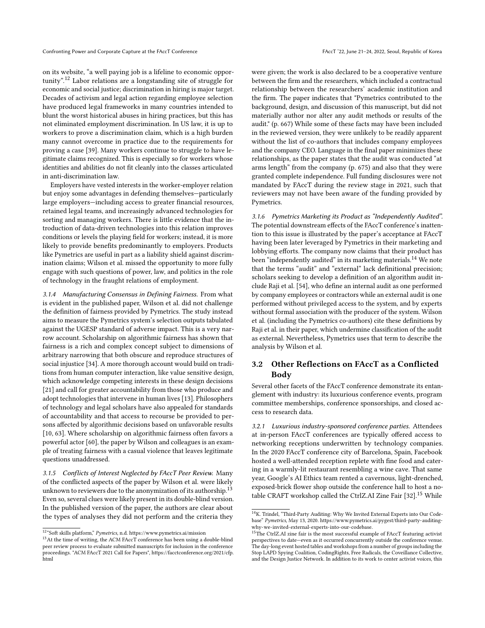on its website, "a well paying job is a lifeline to economic opportunity".[12](#page-4-0) Labor relations are a longstanding site of struggle for economic and social justice; discrimination in hiring is major target. Decades of activism and legal action regarding employee selection have produced legal frameworks in many countries intended to blunt the worst historical abuses in hiring practices, but this has not eliminated employment discrimination. In US law, it is up to workers to prove a discrimination claim, which is a high burden many cannot overcome in practice due to the requirements for proving a case [\[39\]](#page-10-28). Many workers continue to struggle to have legitimate claims recognized. This is especially so for workers whose identities and abilities do not fit cleanly into the classes articulated in anti-discrimination law.

Employers have vested interests in the worker-employer relation but enjoy some advantages in defending themselves—particularly large employers—including access to greater financial resources, retained legal teams, and increasingly advanced technologies for sorting and managing workers. There is little evidence that the introduction of data-driven technologies into this relation improves conditions or levels the playing field for workers; instead, it is more likely to provide benefits predominantly to employers. Products like Pymetrics are useful in part as a liability shield against discrimination claims; Wilson et al. missed the opportunity to more fully engage with such questions of power, law, and politics in the role of technology in the fraught relations of employment.

3.1.4 Manufacturing Consensus in Defining Fairness. From what is evident in the published paper, Wilson et al. did not challenge the definition of fairness provided by Pymetrics. The study instead aims to measure the Pymetrics system's selection outputs tabulated against the UGESP standard of adverse impact. This is a very narrow account. Scholarship on algorithmic fairness has shown that fairness is a rich and complex concept subject to dimensions of arbitrary narrowing that both obscure and reproduce structures of social injustice [\[34\]](#page-10-29). A more thorough account would build on traditions from human computer interaction, like value sensitive design, which acknowledge competing interests in these design decisions [\[21\]](#page-10-30) and call for greater accountability from those who produce and adopt technologies that intervene in human lives [\[13\]](#page-10-31). Philosophers of technology and legal scholars have also appealed for standards of accountability and that access to recourse be provided to persons affected by algorithmic decisions based on unfavorable results [\[10,](#page-9-9) [63\]](#page-10-32). Where scholarship on algorithmic fairness often favors a powerful actor [\[60\]](#page-10-2), the paper by Wilson and colleagues is an example of treating fairness with a casual violence that leaves legitimate questions unaddressed.

3.1.5 Conflicts of Interest Neglected by FAccT Peer Review. Many of the conflicted aspects of the paper by Wilson et al. were likely unknown to reviewers due to the anonymization of its authorship.<sup>[13](#page-4-1)</sup> Even so, several clues were likely present in its double-blind version. In the published version of the paper, the authors are clear about the types of analyses they did not perform and the criteria they

were given; the work is also declared to be a cooperative venture between the firm and the researchers, which included a contractual relationship between the researchers' academic institution and the firm. The paper indicates that "Pymetrics contributed to the background, design, and discussion of this manuscript, but did not materially author nor alter any audit methods or results of the audit." (p. 667) While some of these facts may have been included in the reviewed version, they were unlikely to be readily apparent without the list of co-authors that includes company employees and the company CEO. Language in the final paper minimizes these relationships, as the paper states that the audit was conducted "at arms length" from the company (p. 675) and also that they were granted complete independence. Full funding disclosures were not mandated by FAccT during the review stage in 2021, such that reviewers may not have been aware of the funding provided by Pymetrics.

3.1.6 Pymetrics Marketing its Product as "Independently Audited". The potential downstream effects of the FAccT conference's inattention to this issue is illustrated by the paper's acceptance at FAccT having been later leveraged by Pymetrics in their marketing and lobbying efforts. The company now claims that their product has been "independently audited" in its marketing materials.<sup>[14](#page-4-2)</sup> We note that the terms "audit" and "external" lack definitional precision; scholars seeking to develop a definition of an algorithm audit include Raji et al. [\[54\]](#page-10-33), who define an internal audit as one performed by company employees or contractors while an external audit is one performed without privileged access to the system, and by experts without formal association with the producer of the system. Wilson et al. (including the Pymetrics co-authors) cite these definitions by Raji et al. in their paper, which undermine classification of the audit as external. Nevertheless, Pymetrics uses that term to describe the analysis by Wilson et al.

## 3.2 Other Reflections on FAccT as a Conflicted Body

Several other facets of the FAccT conference demonstrate its entanglement with industry: its luxurious conference events, program committee memberships, conference sponsorships, and closed access to research data.

3.2.1 Luxurious industry-sponsored conference parties. Attendees at in-person FAccT conferences are typically offered access to networking receptions underwritten by technology companies. In the 2020 FAccT conference city of Barcelona, Spain, Facebook hosted a well-attended reception replete with fine food and catering in a warmly-lit restaurant resembling a wine cave. That same year, Google's AI Ethics team rented a cavernous, light-drenched, exposed-brick flower shop outside the conference hall to host a notable CRAFT workshop called the CtrlZ.AI Zine Fair [\[32\]](#page-10-34).[15](#page-4-3) While

<span id="page-4-0"></span> $^{12\,o}\!\!S$ oft skills platform," Pymetrics, n.d.<https://www.pymetrics.ai/mission>

<span id="page-4-1"></span> $^{13}\mathrm{At}$  the time of writing, the ACM FAccT conference has been using a double-blind peer review process to evaluate submitted manuscripts for inclusion in the conference proceedings. "ACM FAccT 2021 Call for Papers", [https://facctconference.org/2021/cfp.](https://facctconference.org/2021/cfp.html) [html](https://facctconference.org/2021/cfp.html)

<span id="page-4-2"></span> $\overline{^{14}\mathrm{K}}$  . Trindel, "Third-Party Auditing: Why We Invited External Experts into Our Codebase" Pymetrics, May 13, 2020. [https://www.pymetrics.ai/pygest/third-party-auditing](https://www.pymetrics.ai/pygest/third-party-auditing-why-we-invited-external-experts-into-our-codebase)[why-we-invited-external-experts-into-our-codebase.](https://www.pymetrics.ai/pygest/third-party-auditing-why-we-invited-external-experts-into-our-codebase)

<span id="page-4-3"></span><sup>&</sup>lt;sup>15</sup>The CtrlZ.AI zine fair is the most successful example of FAccT featuring activist perspectives to date—even as it occurred concurrently outside the conference venue. The day-long event hosted tables and workshops from a number of groups including the Stop LAPD Spying Coalition, CodingRights, Free Radicals, the Coveillance Collective, and the Design Justice Network. In addition to its work to center activist voices, this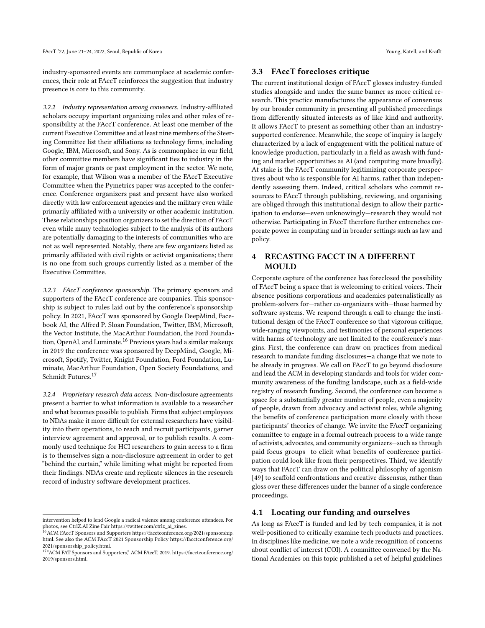industry-sponsored events are commonplace at academic conferences, their role at FAccT reinforces the suggestion that industry presence is core to this community.

3.2.2 Industry representation among conveners. Industry-affiliated scholars occupy important organizing roles and other roles of responsibility at the FAccT conference. At least one member of the current Executive Committee and at least nine members of the Steering Committee list their affiliations as technology firms, including Google, IBM, Microsoft, and Sony. As is commonplace in our field, other committee members have significant ties to industry in the form of major grants or past employment in the sector. We note, for example, that Wilson was a member of the FAccT Executive Committee when the Pymetrics paper was accepted to the conference. Conference organizers past and present have also worked directly with law enforcement agencies and the military even while primarily affiliated with a university or other academic institution. These relationships position organizers to set the direction of FAccT even while many technologies subject to the analysis of its authors are potentially damaging to the interests of communities who are not as well represented. Notably, there are few organizers listed as primarily affiliated with civil rights or activist organizations; there is no one from such groups currently listed as a member of the Executive Committee.

3.2.3 FAccT conference sponsorship. The primary sponsors and supporters of the FAccT conference are companies. This sponsorship is subject to rules laid out by the conference's sponsorship policy. In 2021, FAccT was sponsored by Google DeepMind, Facebook AI, the Alfred P. Sloan Foundation, Twitter, IBM, Microsoft, the Vector Institute, the MacArthur Foundation, the Ford Foundation, OpenAI, and Luminate.[16](#page-5-0) Previous years had a similar makeup: in 2019 the conference was sponsored by DeepMind, Google, Microsoft, Spotify, Twitter, Knight Foundation, Ford Foundation, Luminate, MacArthur Foundation, Open Society Foundations, and Schmidt Futures.[17](#page-5-1)

3.2.4 Proprietary research data access. Non-disclosure agreements present a barrier to what information is available to a researcher and what becomes possible to publish. Firms that subject employees to NDAs make it more difficult for external researchers have visibility into their operations, to reach and recruit participants, garner interview agreement and approval, or to publish results. A commonly used technique for HCI researchers to gain access to a firm is to themselves sign a non-disclosure agreement in order to get "behind the curtain," while limiting what might be reported from their findings. NDAs create and replicate silences in the research record of industry software development practices.

### 3.3 FAccT forecloses critique

The current institutional design of FAccT glosses industry-funded studies alongside and under the same banner as more critical research. This practice manufactures the appearance of consensus by our broader community in presenting all published proceedings from differently situated interests as of like kind and authority. It allows FAccT to present as something other than an industrysupported conference. Meanwhile, the scope of inquiry is largely characterized by a lack of engagement with the political nature of knowledge production, particularly in a field as awash with funding and market opportunities as AI (and computing more broadly). At stake is the FAccT community legitimizing corporate perspectives about who is responsible for AI harms, rather than independently assessing them. Indeed, critical scholars who commit resources to FAccT through publishing, reviewing, and organising are obliged through this institutional design to allow their participation to endorse—even unknowingly—research they would not otherwise. Participating in FAccT therefore further entrenches corporate power in computing and in broader settings such as law and policy.

# 4 RECASTING FACCT IN A DIFFERENT MOULD

Corporate capture of the conference has foreclosed the possibility of FAccT being a space that is welcoming to critical voices. Their absence positions corporations and academics paternalistically as problem-solvers for—rather co-organizers with—those harmed by software systems. We respond through a call to change the institutional design of the FAccT conference so that vigorous critique, wide-ranging viewpoints, and testimonies of personal experiences with harms of technology are not limited to the conference's margins. First, the conference can draw on practices from medical research to mandate funding disclosures—a change that we note to be already in progress. We call on FAccT to go beyond disclosure and lead the ACM in developing standards and tools for wider community awareness of the funding landscape, such as a field-wide registry of research funding. Second, the conference can become a space for a substantially greater number of people, even a majority of people, drawn from advocacy and activist roles, while aligning the benefits of conference participation more closely with those participants' theories of change. We invite the FAccT organizing committee to engage in a formal outreach process to a wide range of activists, advocates, and community organizers—such as through paid focus groups—to elicit what benefits of conference participation could look like from their perspectives. Third, we identify ways that FAccT can draw on the political philosophy of agonism [\[49\]](#page-10-35) to scaffold confrontations and creative dissensus, rather than gloss over these differences under the banner of a single conference proceedings.

### 4.1 Locating our funding and ourselves

As long as FAccT is funded and led by tech companies, it is not well-positioned to critically examine tech products and practices. In disciplines like medicine, we note a wide recognition of concerns about conflict of interest (COI). A committee convened by the National Academies on this topic published a set of helpful guidelines

intervention helped to lend Google a radical valence among conference attendees. For photos, see CtrlZ.AI Zine Fair [https://twitter.com/ctrlz\\_ai\\_zines.](https://twitter.com/ctrlz_ai_zines)

<span id="page-5-0"></span><sup>&</sup>lt;sup>16</sup> ACM FAccT Sponsors and Supporters [https://facctconference.org/2021/sponsorship.](https://facctconference.org/2021/sponsorship.html) [html.](https://facctconference.org/2021/sponsorship.html) See also the ACM FAccT 2021 Sponsorship Policy [https://facctconference.org/](https://facctconference.org/2021/sponsorship_policy.html) [2021/sponsorship\\_policy.html.](https://facctconference.org/2021/sponsorship_policy.html)

<span id="page-5-1"></span><sup>17</sup>"ACM FAT Sponsors and Supporters," ACM FAccT, 2019. [https://facctconference.org/](https://facctconference.org/2019/sponsors.html) [2019/sponsors.html.](https://facctconference.org/2019/sponsors.html)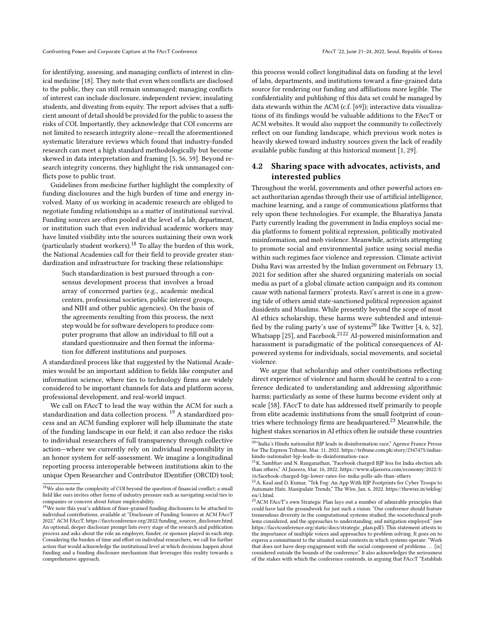for identifying, assessing, and managing conflicts of interest in clinical medicine [\[18\]](#page-10-36). They note that even when conflicts are disclosed to the public, they can still remain unmanaged; managing conflicts of interest can include disclosure, independent review, insulating students, and divesting from equity. The report advises that a sufficient amount of detail should be provided for the public to assess the risks of COI. Importantly, they acknowledge that COI concerns are not limited to research integrity alone—recall the aforementioned systematic literature reviews which found that industry-funded research can meet a high standard methodologically but become skewed in data interpretation and framing [\[5,](#page-9-4) [56,](#page-10-14) [59\]](#page-10-13). Beyond research integrity concerns, they highlight the risk unmanaged conflicts pose to public trust.

Guidelines from medicine further highlight the complexity of funding disclosures and the high burden of time and energy involved. Many of us working in academic research are obliged to negotiate funding relationships as a matter of institutional survival. Funding sources are often pooled at the level of a lab, department, or institution such that even individual academic workers may have limited visibility into the sources sustaining their own work (particularly student workers).[18](#page-6-0) To allay the burden of this work, the National Academies call for their field to provide greater standardization and infrastructure for tracking these relationships:

Such standardization is best pursued through a consensus development process that involves a broad array of concerned parties (e.g., academic medical centers, professional societies, public interest groups, and NIH and other public agencies). On the basis of the agreements resulting from this process, the next step would be for software developers to produce computer programs that allow an individual to fill out a standard questionnaire and then format the information for different institutions and purposes.

A standardized process like that suggested by the National Academies would be an important addition to fields like computer and information science, where ties to technology firms are widely considered to be important channels for data and platform access, professional development, and real-world impact.

We call on FAccT to lead the way within the ACM for such a standardization and data collection process. [19](#page-6-1) A standardized process and an ACM funding explorer will help illuminate the state of the funding landscape in our field; it can also reduce the risks to individual researchers of full transparency through collective action—where we currently rely on individual responsibility in an honor system for self-assessment. We imagine a longitudinal reporting process interoperable between institutions akin to the unique Open Researcher and Contributor IDentifier (ORCID) tool;

this process would collect longitudinal data on funding at the level of labs, departments, and institutions toward a fine-grained data source for rendering our funding and affiliations more legible. The confidentiality and publishing of this data set could be managed by data stewards within the ACM (c.f. [\[69\]](#page-11-5)); interactive data visualizations of its findings would be valuable additions to the FAccT or ACM websites. It would also support the community to collectively reflect on our funding landscape, which previous work notes is heavily skewed toward industry sources given the lack of readily available public funding at this historical moment [\[1,](#page-9-2) [29\]](#page-10-21).

# 4.2 Sharing space with advocates, activists, and interested publics

Throughout the world, governments and other powerful actors enact authoritarian agendas through their use of artificial intelligence, machine learning, and a range of communications platforms that rely upon these technologies. For example, the Bharatiya Janata Party currently leading the government in India employs social media platforms to foment political repression, politically motivated misinformation, and mob violence. Meanwhile, activists attempting to promote social and environmental justice using social media within such regimes face violence and repression. Climate activist Disha Ravi was arrested by the Indian government on February 13, 2021 for sedition after she shared organizing materials on social media as part of a global climate action campaign and its common cause with national farmers' protests. Ravi's arrest is one in a growing tide of others amid state-sanctioned political repression against dissidents and Muslims. While presently beyond the scope of most AI ethics scholarship, these harms were subtended and intensi-fied by the ruling party's use of systems<sup>[20](#page-6-2)</sup> like Twitter [\[4,](#page-9-10) [6,](#page-9-11) [52\]](#page-10-37), Whatsapp [\[25\]](#page-10-38), and Facebook.<sup>[21](#page-6-3)[22](#page-6-4)</sup> AI-powered misinformation and harassment is paradigmatic of the political consequences of AIpowered systems for individuals, social movements, and societal violence.

We argue that scholarship and other contributions reflecting direct experience of violence and harm should be central to a conference dedicated to understanding and addressing algorithmic harms; particularly as some of these harms become evident only at scale [\[58\]](#page-10-39). FAccT to date has addressed itself primarily to people from elite academic institutions from the small footprint of countries where technology firms are headquartered.[23](#page-6-5) Meanwhile, the highest stakes scenarios in AI ethics often lie outside these countries

<span id="page-6-0"></span> $^{18}\mathrm{We}$  also note the complexity of COI beyond the question of financial conflict; a small field like ours invites other forms of industry pressure such as navigating social ties to companies or concern about future employability.

<span id="page-6-1"></span><sup>&</sup>lt;sup>19</sup>We note this year's addition of finer-grained funding disclosures to be attached to individual contributions, available at "Disclosure of Funding Sources at ACM FAccT 2022," ACM FAccT, [https://facctconference.org/2022/funding\\_sources\\_disclosure.html.](https://facctconference.org/2022/funding_sources_disclosure.html) An optional, deeper disclosure prompt lists every stage of the research and publication process and asks about the role an employer, funder, or sponsor played in each step. Considering the burden of time and effort on individual researchers, we call for further action that would acknowledge the institutional level at which decisions happen about funding and a funding disclosure mechanism that leverages this reality towards a comprehensive approach.

<span id="page-6-2"></span> $^{204}\rm{India's}$  Hindu nationalist BJP leads in disinformation race," Agence France Presse for The Express Tribune, Mar. 11, 2022. [https://tribune.com.pk/story/2347475/indias](https://tribune.com.pk/story/2347475/indias-hindu-nationalist-bjp-leads-in-disinformation-race)[hindu-nationalist-bjp-leads-in-disinformation-race.](https://tribune.com.pk/story/2347475/indias-hindu-nationalist-bjp-leads-in-disinformation-race)

<span id="page-6-3"></span><sup>21</sup>K. Sambhav and N. Ranganathan, "Facebook charged BJP less for India election ads than others," Al Jazeera, Mar. 16, 2022. [https://www.aljazeera.com/economy/2022/3/](https://www.aljazeera.com/economy/2022/3/16/facebook-charged-bjp-lower-rates-for-india-polls-ads-than-others) [16/facebook-charged-bjp-lower-rates-for-india-polls-ads-than-others](https://www.aljazeera.com/economy/2022/3/16/facebook-charged-bjp-lower-rates-for-india-polls-ads-than-others)

<span id="page-6-4"></span> $^{22}\mathrm{A}$  Kaul and D. Kumar, "Tek Fog: An App With BJP Footprints for Cyber Troops to Automate Hate, Manipulate Trends," The Wire, Jan. 6, 2022. [https://thewire.in/tekfog/](https://thewire.in/tekfog/en/1.html) [en/1.html.](https://thewire.in/tekfog/en/1.html)

<span id="page-6-5"></span><sup>&</sup>lt;sup>23</sup> ACM FAccT's own Strategic Plan lays out a number of admirable principles that could have laid the groundwork for just such a vision. "Our conference should feature tremendous diversity in the computational systems studied, the sociotechnical problems considered, and the approaches to understanding, and mitigation employed." (see [https://facctconference.org/static/docs/strategic\\_plan.pdf\)](https://facctconference.org/static/docs/strategic_plan.pdf). This statement attests to the importance of multiple voices and approaches to problem solving. It goes on to express a commitment to the situated social contexts in which systems operate: "Work that does not have deep engagement with the social component of problems ... [is] considered outside the bounds of the conference." It also acknowledges the seriousness of the stakes with which the conference contends, in arguing that FAccT "Establish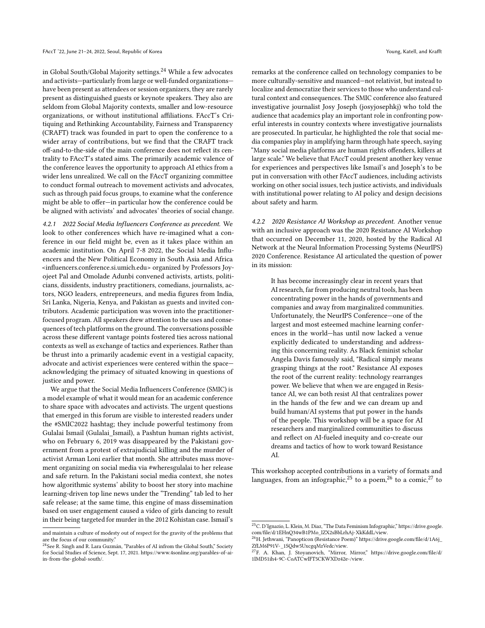in Global South/Global Majority settings. $^{24}$  $^{24}$  $^{24}$  While a few advocates and activists—particularly from large or well-funded organizations have been present as attendees or session organizers, they are rarely present as distinguished guests or keynote speakers. They also are seldom from Global Majority contexts, smaller and low-resource organizations, or without institutional affiliations. FAccT's Critiquing and Rethinking Accountability, Fairness and Transparency (CRAFT) track was founded in part to open the conference to a wider array of contributions, but we find that the CRAFT track off-and-to-the-side of the main conference does not reflect its centrality to FAccT's stated aims. The primarily academic valence of the conference leaves the opportunity to approach AI ethics from a wider lens unrealized. We call on the FAccT organizing committee to conduct formal outreach to movement activists and advocates, such as through paid focus groups, to examine what the conference might be able to offer—in particular how the conference could be be aligned with activists' and advocates' theories of social change.

4.2.1 2022 Social Media Influencers Conference as precedent. We look to other conferences which have re-imagined what a conference in our field might be, even as it takes place within an academic institution. On April 7-8 2022, the Social Media Influencers and the New Political Economy in South Asia and Africa [<influencers.conference.si.umich.edu>](influencers.conference.si.umich.edu) organized by Professors Joyojeet Pal and Omolade Adunbi convened activists, artists, politicians, dissidents, industry practitioners, comedians, journalists, actors, NGO leaders, entrepreneurs, and media figures from India, Sri Lanka, Nigeria, Kenya, and Pakistan as guests and invited contributors. Academic participation was woven into the practitionerfocused program. All speakers drew attention to the uses and consequences of tech platforms on the ground. The conversations possible across these different vantage points fostered ties across national contexts as well as exchange of tactics and experiences. Rather than be thrust into a primarily academic event in a vestigial capacity, advocate and activist experiences were centered within the space acknowledging the primacy of situated knowing in questions of justice and power.

We argue that the Social Media Influencers Conference (SMIC) is a model example of what it would mean for an academic conference to share space with advocates and activists. The urgent questions that emerged in this forum are visible to interested readers under the #SMIC2022 hashtag; they include powerful testimony from Gulalai Ismail (Gulalai\_Ismail), a Pashtun human rights activist, who on February 6, 2019 was disappeared by the Pakistani government from a protest of extrajudicial killing and the murder of activist Arman Loni earlier that month. She attributes mass movement organizing on social media via #wheresgulalai to her release and safe return. In the Pakistani social media context, she notes how algorithmic systems' ability to boost her story into machine learning-driven top line news under the "Trending" tab led to her safe release; at the same time, this engine of mass dissemination based on user engagement caused a video of girls dancing to result in their being targeted for murder in the 2012 Kohistan case. Ismail's

remarks at the conference called on technology companies to be more culturally-sensitive and nuanced—not relativist, but instead to localize and democratize their services to those who understand cultural context and consequences. The SMIC conference also featured investigative journalist Josy Joseph (josyjosephkj) who told the audience that academics play an important role in confronting powerful interests in country contexts where investigative journalists are prosecuted. In particular, he highlighted the role that social media companies play in amplifying harm through hate speech, saying "Many social media platforms are human rights offenders, killers at large scale." We believe that FAccT could present another key venue for experiences and perspectives like Ismail's and Joseph's to be put in conversation with other FAccT audiences, including activists working on other social issues, tech justice activists, and individuals with institutional power relating to AI policy and design decisions about safety and harm.

4.2.2 2020 Resistance AI Workshop as precedent. Another venue with an inclusive approach was the 2020 Resistance AI Workshop that occurred on December 11, 2020, hosted by the Radical AI Network at the Neural Information Processing Systems (NeurIPS) 2020 Conference. Resistance AI articulated the question of power in its mission:

It has become increasingly clear in recent years that AI research, far from producing neutral tools, has been concentrating power in the hands of governments and companies and away from marginalized communities. Unfortunately, the NeurIPS Conference—one of the largest and most esteemed machine learning conferences in the world—has until now lacked a venue explicitly dedicated to understanding and addressing this concerning reality. As Black feminist scholar Angela Davis famously said, "Radical simply means grasping things at the root." Resistance AI exposes the root of the current reality: technology rearranges power. We believe that when we are engaged in Resistance AI, we can both resist AI that centralizes power in the hands of the few and we can dream up and build human/AI systems that put power in the hands of the people. This workshop will be a space for AI researchers and marginalized communities to discuss and reflect on AI-fueled inequity and co-create our dreams and tactics of how to work toward Resistance AI.

This workshop accepted contributions in a variety of formats and languages, from an infographic,<sup>[25](#page-7-1)</sup> to a poem,<sup>[26](#page-7-2)</sup> to a comic,<sup>[27](#page-7-3)</sup> to

and maintain a culture of modesty out of respect for the gravity of the problems that are the focus of our community."

<span id="page-7-0"></span><sup>&</sup>lt;sup>24</sup>See R. Singh and R. Lara Guzmán, "Parables of AI infrom the Global South," Society for Social Studies of Science, Sept. 17, 2021. [https://www.4sonline.org/parables-of-ai](https://www.4sonline.org/parables-of-ai-in-from-the-global-south/)[in-from-the-global-south/.](https://www.4sonline.org/parables-of-ai-in-from-the-global-south/)

<span id="page-7-1"></span><sup>25</sup>C. D'Ignazio, L. Klein, M. Diaz, "The Data Feminism Infographic," [https://drive.google.](https://drive.google.com/file/d/1EHnQ34wB1PMo_lZX2sBbLrhAj-XkKddL/view)

<span id="page-7-2"></span>[com/file/d/1EHnQ34wB1PMo\\_lZX2sBbLrhAj-XkKddL/view.](https://drive.google.com/file/d/1EHnQ34wB1PMo_lZX2sBbLrhAj-XkKddL/view)<br><sup>26</sup>H. Jethwani, "Panopticon (Resistance Poem)" [https://drive.google.com/file/d/1A6j\\_](https://drive.google.com/file/d/1A6j_ZfLM6P91V-_1SQdw5UxcgqMzVedc/view) [ZfLM6P91V-\\_1SQdw5UxcgqMzVedc/view.](https://drive.google.com/file/d/1A6j_ZfLM6P91V-_1SQdw5UxcgqMzVedc/view)

<span id="page-7-3"></span><sup>27</sup>F. A. Khan, J. Stoyanovich, "Mirror, Mirror," [https://drive.google.com/file/d/](https://drive.google.com/file/d/1IMD51ih4-9C-CoATCwIFT5CKWXDz42e-/view) [1IMD51ih4-9C-CoATCwIFT5CKWXDz42e-/view.](https://drive.google.com/file/d/1IMD51ih4-9C-CoATCwIFT5CKWXDz42e-/view)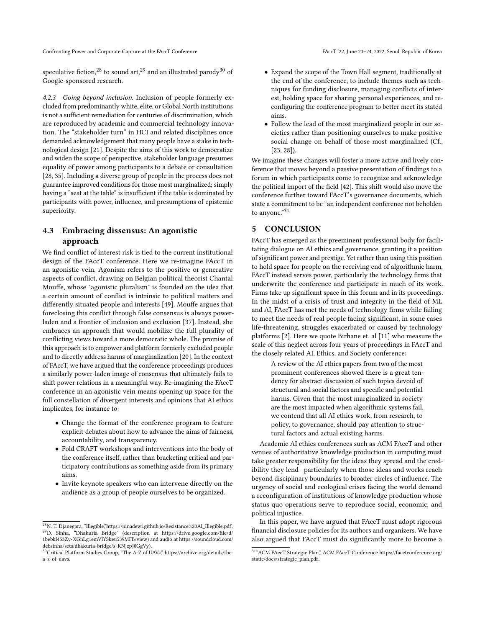Confronting Power and Corporate Capture at the FAccT Conference FACCT '22, June 21-24, 2022, Seoul, Republic of Korea

speculative fiction,<sup>[28](#page-8-0)</sup> to sound art,<sup>[29](#page-8-1)</sup> and an illustrated parody<sup>[30](#page-8-2)</sup> of Google-sponsored research.

4.2.3 Going beyond inclusion. Inclusion of people formerly excluded from predominantly white, elite, or Global North institutions is not a sufficient remediation for centuries of discrimination, which are reproduced by academic and commercial technology innovation. The "stakeholder turn" in HCI and related disciplines once demanded acknowledgement that many people have a stake in technological design [\[21\]](#page-10-30). Despite the aims of this work to democratize and widen the scope of perspective, stakeholder language presumes equality of power among participants to a debate or consultation [\[28,](#page-10-0) [35\]](#page-10-40). Including a diverse group of people in the process does not guarantee improved conditions for those most marginalized; simply having a "seat at the table" is insufficient if the table is dominated by participants with power, influence, and presumptions of epistemic superiority.

# 4.3 Embracing dissensus: An agonistic approach

We find conflict of interest risk is tied to the current institutional design of the FAccT conference. Here we re-imagine FAccT in an agonistic vein. Agonism refers to the positive or generative aspects of conflict, drawing on Belgian political theorist Chantal Mouffe, whose "agonistic pluralism" is founded on the idea that a certain amount of conflict is intrinsic to political matters and differently situated people and interests [\[49\]](#page-10-35). Mouffe argues that foreclosing this conflict through false consensus is always powerladen and a frontier of inclusion and exclusion [\[37\]](#page-10-41). Instead, she embraces an approach that would mobilize the full plurality of conflicting views toward a more democratic whole. The promise of this approach is to empower and platform formerly excluded people and to directly address harms of marginalization [\[20\]](#page-10-42). In the context of FAccT, we have argued that the conference proceedings produces a similarly power-laden image of consensus that ultimately fails to shift power relations in a meaningful way. Re-imagining the FAccT conference in an agonistic vein means opening up space for the full constellation of divergent interests and opinions that AI ethics implicates, for instance to:

- Change the format of the conference program to feature explicit debates about how to advance the aims of fairness, accountability, and transparency.
- Fold CRAFT workshops and interventions into the body of the conference itself, rather than bracketing critical and participatory contributions as something aside from its primary aims.
- Invite keynote speakers who can intervene directly on the audience as a group of people ourselves to be organized.
- Expand the scope of the Town Hall segment, traditionally at the end of the conference, to include themes such as techniques for funding disclosure, managing conflicts of interest, holding space for sharing personal experiences, and reconfiguring the conference program to better meet its stated aims.
- Follow the lead of the most marginalized people in our societies rather than positioning ourselves to make positive social change on behalf of those most marginalized (Cf., [\[23,](#page-10-4) [28\]](#page-10-0)).

We imagine these changes will foster a more active and lively conference that moves beyond a passive presentation of findings to a forum in which participants come to recognize and acknowledge the political import of the field [\[42\]](#page-10-43). This shift would also move the conference further toward FAccT's governance documents, which state a commitment to be "an independent conference not beholden to anyone."[31](#page-8-3)

# 5 CONCLUSION

FAccT has emerged as the preeminent professional body for facilitating dialogue on AI ethics and governance, granting it a position of significant power and prestige. Yet rather than using this position to hold space for people on the receiving end of algorithmic harm, FAccT instead serves power, particularly the technology firms that underwrite the conference and participate in much of its work. Firms take up significant space in this forum and in its proceedings. In the midst of a crisis of trust and integrity in the field of ML and AI, FAccT has met the needs of technology firms while failing to meet the needs of real people facing significant, in some cases life-threatening, struggles exacerbated or caused by technology platforms [\[2\]](#page-9-8). Here we quote Birhane et. al [\[11\]](#page-9-1) who measure the scale of this neglect across four years of proceedings in FAccT and the closely related AI, Ethics, and Society conference:

A review of the AI ethics papers from two of the most prominent conferences showed there is a great tendency for abstract discussion of such topics devoid of structural and social factors and specific and potential harms. Given that the most marginalized in society are the most impacted when algorithmic systems fail, we contend that all AI ethics work, from research, to policy, to governance, should pay attention to structural factors and actual existing harms.

Academic AI ethics conferences such as ACM FAccT and other venues of authoritative knowledge production in computing must take greater responsibility for the ideas they spread and the credibility they lend—particularly when those ideas and works reach beyond disciplinary boundaries to broader circles of influence. The urgency of social and ecological crises facing the world demand a reconfiguration of institutions of knowledge production whose status quo operations serve to reproduce social, economic, and political injustice.

In this paper, we have argued that FAccT must adopt rigorous financial disclosure policies for its authors and organizers. We have also argued that FAccT must do significantly more to become a

<span id="page-8-1"></span><span id="page-8-0"></span><sup>28</sup>N. T. Djanegara, "Illegible,["https://ninadewi.github.io/Resistance%20AI\\_Illegible.pdf.](https://ninadewi.github.io/Resistance%20AI_Illegible.pdf) <sup>29</sup>D. Sinha, "Dhakuria Bridge" (description at [https://drive.google.com/file/d/](https://drive.google.com/file/d/1bebkl453Zy-XGnLg1emVlYSkeu539MFB/view) [1bebkl453Zy-XGnLg1emVlYSkeu539MFB/view\)](https://drive.google.com/file/d/1bebkl453Zy-XGnLg1emVlYSkeu539MFB/view) and audio at [https://soundcloud.com/](https://soundcloud.com/debsinha/sets/dhakuria-bridge/s-KNJzpJ0GgVy) [debsinha/sets/dhakuria-bridge/s-KNJzpJ0GgVy\)](https://soundcloud.com/debsinha/sets/dhakuria-bridge/s-KNJzpJ0GgVy).

<span id="page-8-2"></span><sup>30</sup>Critical Platform Studies Group, "The A-Z of UAVs," [https://archive.org/details/the](https://archive.org/details/the-a-z-of-uavs)[a-z-of-uavs.](https://archive.org/details/the-a-z-of-uavs)

<span id="page-8-3"></span> $^{31}$  "ACM FAccT Strategic Plan," ACM FAccT Conference [https://facctconference.org/](https://facctconference.org/static/docs/strategic_plan.pdf)  $\,$ [static/docs/strategic\\_plan.pdf.](https://facctconference.org/static/docs/strategic_plan.pdf)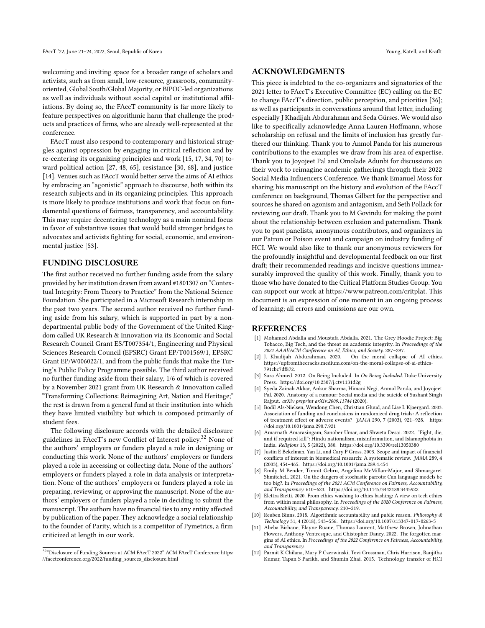welcoming and inviting space for a broader range of scholars and activists, such as from small, low-resource, grassroots, communityoriented, Global South/Global Majority, or BIPOC-led organizations as well as individuals without social capital or institutional affiliations. By doing so, the FAccT community is far more likely to feature perspectives on algorithmic harm that challenge the products and practices of firms, who are already well-represented at the conference.

FAccT must also respond to contemporary and historical struggles against oppression by engaging in critical reflection and by re-centering its organizing principles and work [\[15,](#page-10-44) [17,](#page-10-45) [34,](#page-10-29) [70\]](#page-11-6) toward political action [\[27,](#page-10-46) [48,](#page-10-47) [65\]](#page-11-2), resistance [\[30,](#page-10-48) [68\]](#page-11-7), and justice [\[14\]](#page-10-49). Venues such as FAccT would better serve the aims of AI ethics by embracing an "agonistic" approach to discourse, both within its research subjects and in its organizing principles. This approach is more likely to produce institutions and work that focus on fundamental questions of fairness, transparency, and accountability. This may require decentering technology as a main nominal focus in favor of substantive issues that would build stronger bridges to advocates and activists fighting for social, economic, and environmental justice [\[53\]](#page-10-50).

## FUNDING DISCLOSURE

The first author received no further funding aside from the salary provided by her institution drawn from award #1801307 on "Contextual Integrity: From Theory to Practice" from the National Science Foundation. She participated in a Microsoft Research internship in the past two years. The second author received no further funding aside from his salary, which is supported in part by a nondepartmental public body of the Government of the United Kingdom called UK Research & Innovation via its Economic and Social Research Council Grant ES/T007354/1, Engineering and Physical Sciences Research Council (EPSRC) Grant EP/T001569/1, EPSRC Grant EP/W006022/1, and from the public funds that make the Turing's Public Policy Programme possible. The third author received no further funding aside from their salary, 1/6 of which is covered by a November 2021 grant from UK Research & Innovation called "Transforming Collections: Reimagining Art, Nation and Heritage;" the rest is drawn from a general fund at their institution into which they have limited visibility but which is composed primarily of student fees.

The following disclosure accords with the detailed disclosure guidelines in FAccT's new Conflict of Interest policy.[32](#page-9-12) None of the authors' employers or funders played a role in designing or conducting this work. None of the authors' employers or funders played a role in accessing or collecting data. None of the authors' employers or funders played a role in data analysis or interpretation. None of the authors' employers or funders played a role in preparing, reviewing, or approving the manuscript. None of the authors' employers or funders played a role in deciding to submit the manuscript. The authors have no financial ties to any entity affected by publication of the paper. They acknowledge a social relationship to the founder of Parity, which is a competitor of Pymetrics, a firm criticized at length in our work.

### ACKNOWLEDGMENTS

This piece is indebted to the co-organizers and signatories of the 2021 letter to FAccT's Executive Committee (EC) calling on the EC to change FAccT's direction, public perception, and priorities [\[36\]](#page-10-26); as well as participants in conversations around that letter, including especially J Khadijah Abdurahman and Seda Gürses. We would also like to specifically acknowledge Anna Lauren Hoffmann, whose scholarship on refusal and the limits of inclusion has greatly furthered our thinking. Thank you to Anmol Panda for his numerous contributions to the examples we draw from his area of expertise. Thank you to Joyojeet Pal and Omolade Adunbi for discussions on their work to reimagine academic gatherings through their 2022 Social Media Influencers Conference. We thank Emanuel Moss for sharing his manuscript on the history and evolution of the FAccT conference on background, Thomas Gilbert for the perspective and sources he shared on agonism and antagonism, and Seth Pollack for reviewing our draft. Thank you to M Govindu for making the point about the relationship between exclusion and paternalism. Thank you to past panelists, anonymous contributors, and organizers in our Patron or Poison event and campaign on industry funding of HCI. We would also like to thank our anonymous reviewers for the profoundly insightful and developmental feedback on our first draft; their recommended readings and incisive questions immeasurably improved the quality of this work. Finally, thank you to those who have donated to the Critical Platform Studies Group. You can support our work at [https://www.patreon.com/critplat.](https://www.patreon.com/critplat) This document is an expression of one moment in an ongoing process of learning; all errors and omissions are our own.

#### REFERENCES

- <span id="page-9-2"></span>[1] Mohamed Abdalla and Moustafa Abdalla. 2021. The Grey Hoodie Project: Big Tobacco, Big Tech, and the threat on academic integrity. In Proceedings of the 2021 AAAI/ACM Conference on AI, Ethics, and Society. 287–297.
- <span id="page-9-8"></span>[2] J. Khadijah Abdurahman. 2020. On the moral collapse of AI ethics. https://upfromthecracks.medium.com/on-the-moral-collapse-of-ai-ethics-791cbc7df872.
- <span id="page-9-3"></span>[3] Sara Ahmed. 2012. On Being Included. In On Being Included. Duke University Press.<https://doi.org/10.2307/j.ctv1131d2g>
- <span id="page-9-10"></span>[4] Syeda Zainab Akbar, Ankur Sharma, Himani Negi, Anmol Panda, and Joyojeet Pal. 2020. Anatomy of a rumour: Social media and the suicide of Sushant Singh Rajput. arXiv preprint arXiv:2009.11744 (2020).
- <span id="page-9-4"></span>Bodil Als-Nielsen, Wendong Chen, Christian Gluud, and Lise L Kjaergard. 2003. Association of funding and conclusions in randomized drug trials: A reflection of treatment effect or adverse events? JAMA 290, 7 (2003), 921–928. [https:](https://doi.org/10.1001/jama.290.7.921) [//doi.org/10.1001/jama.290.7.921](https://doi.org/10.1001/jama.290.7.921)
- <span id="page-9-11"></span>[6] Amarnath Amarasingam, Sanober Umar, and Shweta Desai. 2022. "Fight, die, and if required kill": Hindu nationalism, misinformation, and Islamophobia in India. Religions 13, 5 (2022), 380.<https://doi.org/10.3390/rel13050380>
- <span id="page-9-5"></span>[7] Justin E Bekelman, Yan Li, and Cary P Gross. 2003. Scope and impact of financial conflicts of interest in biomedical research: A systematic review. JAMA 289, 4 (2003), 454–465.<https://doi.org/10.1001/jama.289.4.454>
- <span id="page-9-6"></span>[8] Emily M Bender, Timnit Gebru, Angelina McMillan-Major, and Shmargaret Shmitchell. 2021. On the dangers of stochastic parrots: Can language models be too big?. In Proceedings of the 2021 ACM Conference on Fairness, Accountability, and Transparency. 610–623.<https://doi.org/10.1145/3442188.3445922>
- <span id="page-9-7"></span>[9] Elettra Bietti. 2020. From ethics washing to ethics bashing: A view on tech ethics from within moral philosophy. In Proceedings of the 2020 Conference on Fairness, Accountability, and Transparency. 210–219.
- <span id="page-9-9"></span>Reuben Binns. 2018. Algorithmic accountability and public reason. Philosophy & Technology 31, 4 (2018), 543–556.<https://doi.org/10.1007/s13347-017-0263-5>
- <span id="page-9-1"></span>[11] Abeba Birhane, Elayne Ruane, Thomas Laurent, Matthew Brown, Johnathan Flowers, Anthony Ventresque, and Chistopher Dancy. 2022. The forgotten margins of AI ethics. In Proceedings of the 2022 Conference on Fairness, Accountability, and Transparency.
- <span id="page-9-0"></span>[12] Parmit K Chilana, Mary P Czerwinski, Tovi Grossman, Chris Harrison, Ranjitha Kumar, Tapan S Parikh, and Shumin Zhai. 2015. Technology transfer of HCI

<span id="page-9-12"></span><sup>32</sup>"Disclosure of Funding Sources at ACM FAccT 2022" ACM FAccT Conference [https:](https://facctconference.org/2022/funding_sources_disclosure.html) [//facctconference.org/2022/funding\\_sources\\_disclosure.html](https://facctconference.org/2022/funding_sources_disclosure.html)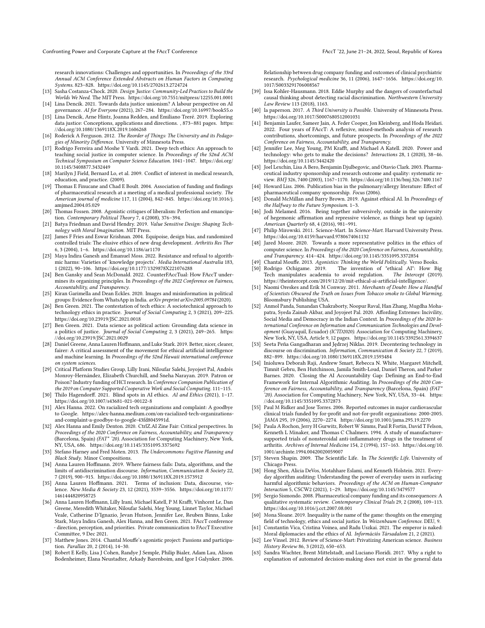research innovations: Challenges and opportunities. In Proceedings of the 33rd Annual ACM Conference Extended Abstracts on Human Factors in Computing Systems. 823–828.<https://doi.org/10.1145/2702613.2724724>

- <span id="page-10-31"></span>[13] Sasha Costanza-Chock. 2020. Design Justice: Community-Led Practices to Build the Worlds We Need. The MIT Press.<https://doi.org/10.7551/mitpress/12255.001.0001> [14] Lina Dencik. 2021. Towards data justice unionism? A labour perspective on AI
- <span id="page-10-49"></span>governance. AI for Everyone (2021), 267–284.<https://doi.org/10.16997/book55.o>
- <span id="page-10-44"></span>[15] Lina Dencik, Arne Hintz, Joanna Redden, and Emiliano Treré. 2019. Exploring data justice: Conceptions, applications and directions. , 873–881 pages. [https:](https://doi.org/10.1080/1369118X.2019.1606268) [//doi.org/10.1080/1369118X.2019.1606268](https://doi.org/10.1080/1369118X.2019.1606268)
- <span id="page-10-9"></span>[16] Roderick A Ferguson. 2012. The Reorder of Things: The University and its Pedagogies of Minority Difference. University of Minnesota Press.
- <span id="page-10-45"></span>[17] Rodrigo Ferreira and Moshe Y Vardi. 2021. Deep tech ethics: An approach to teaching social justice in computer science. In Proceedings of the 52nd ACM Technical Symposium on Computer Science Education. 1041–1047. [https://doi.org/](https://doi.org/10.1145/3408877.3432449) [10.1145/3408877.3432449](https://doi.org/10.1145/3408877.3432449)
- <span id="page-10-36"></span>[18] Marilyn J Field, Bernard Lo, et al. 2009. Conflict of interest in medical research, education, and practice. (2009).
- <span id="page-10-19"></span>[19] Thomas E Finucane and Chad E Boult. 2004. Association of funding and findings of pharmaceutical research at a meeting of a medical professional society. The American journal of medicine 117, 11 (2004), 842–845. [https://doi.org/10.1016/j.](https://doi.org/10.1016/j.amjmed.2004.05.029) [amjmed.2004.05.029](https://doi.org/10.1016/j.amjmed.2004.05.029)
- <span id="page-10-42"></span>[20] Thomas Fossen. 2008. Agonistic critiques of liberalism: Perfection and emancipation. Contemporary Political Theory 7, 4 (2008), 376–394.
- <span id="page-10-30"></span>[21] Batya Friedman and David Hendry. 2019. Value Sensitive Design: Shaping Technology with Moral Imagination. MIT Press.
- <span id="page-10-20"></span>[22] James F Fries and Eswar Krishnan. 2004. Equipoise, design bias, and randomized controlled trials: The elusive ethics of new drug development. Arthritis Res Ther 6, 3 (2004), 1–6.<https://doi.org/10.1186/ar1170>
- <span id="page-10-4"></span>[23] Maya Indira Ganesh and Emanuel Moss. 2022. Resistance and refusal to algorithmic harms: Varieties of 'knowledge projects'. Media International Australia 183, 1 (2022), 90–106.<https://doi.org/10.1177/1329878X221076288>
- <span id="page-10-3"></span>[24] Ben Gansky and Sean McDonald. 2022. CounterFAccTual: How FAccT undermines its organizing principles. In Proceedings of the 2022 Conference on Fairness, Accountability, and Transparency.
- <span id="page-10-38"></span>[25] Kiran Garimella and Dean Eckles. 2020. Images and misinformation in political groups: Evidence from WhatsApp in India. arXiv preprint arXiv:2005.09784 (2020).
- <span id="page-10-22"></span>[26] Ben Green. 2021. The contestation of tech ethics: A sociotechnical approach to technology ethics in practice. Journal of Social Computing 2, 3 (2021), 209–225. <https://doi.org/10.23919/JSC.2021.0018>
- <span id="page-10-46"></span>[27] Ben Green. 2021. Data science as political action: Grounding data science in a politics of justice. Journal of Social Computing 2, 3 (2021), 249–265. [https:](https://doi.org/10.23919/JSC.2021.0029) [//doi.org/10.23919/JSC.2021.0029](https://doi.org/10.23919/JSC.2021.0029)
- <span id="page-10-0"></span>[28] Daniel Greene, Anna Lauren Hoffmann, and Luke Stark. 2019. Better, nicer, clearer, fairer: A critical assessment of the movement for ethical artificial intelligence and machine learning. In Proceedings of the 52nd Hawaii international conference on system sciences.
- <span id="page-10-21"></span>[29] Critical Platform Studies Group, Lilly Irani, Niloufar Salehi, Joyojeet Pal, Andrés Monroy-Hernández, Elizabeth Churchill, and Sneha Narayan. 2019. Patron or Poison? Industry funding of HCI research. In Conference Companion Publication of the 2019 on Computer Supported Cooperative Work and Social Computing. 111–115.
- <span id="page-10-48"></span>[30] Thilo Hagendorff. 2021. Blind spots in AI ethics. AI and Ethics (2021), 1–17. <https://doi.org/10.1007/s43681-021-00122-8>
- <span id="page-10-25"></span>[31] Alex Hanna. 2022. On racialized tech organizations and complaint: A goodbye to Google. https://alex-hanna.medium.com/on-racialized-tech-organizationsand-complaint-a-goodbye-to-google-43fd8045991d.
- <span id="page-10-34"></span>[32] Alex Hanna and Emily Denton. 2020. CtrlZ.AI Zine Fair: Critical perspectives. In Proceedings of the 2020 Conference on Fairness, Accountability, and Transparency (Barcelona, Spain) (FAT\* '20). Association for Computing Machinery, New York, NY, USA, 686.<https://doi.org/10.1145/3351095.3375692>
- <span id="page-10-10"></span>[33] Stefano Harney and Fred Moten. 2013. The Undercommons: Fugitive Planning and Black Study. Minor Compositions.
- <span id="page-10-29"></span>[34] Anna Lauren Hoffmann. 2019. Where fairness fails: Data, algorithms, and the limits of antidiscrimination discourse. Information, Communication & Society 22, 7 (2019), 900–915.<https://doi.org/10.1080/1369118X.2019.1573912>
- <span id="page-10-40"></span>[35] Anna Lauren Hoffmann. 2021. Terms of inclusion: Data, discourse, violence. New Media & Society 23, 12 (2021), 3539–3556. [https://doi.org/10.1177/](https://doi.org/10.1177/1461444820958725) [1461444820958725](https://doi.org/10.1177/1461444820958725)
- <span id="page-10-26"></span>[36] Anna Lauren Hoffmann, Lilly Irani, Michael Katell, P M Krafft, Vinhcent Le, Dan Greene, Meredith Whitaker, Niloufar Salehi, Meg Young, Linnet Taylor, Michael Veale, Catherine D'Ignazio, Jevan Hutson, Jennifer Lee, Reuben Binns, Luke Stark, Maya Indira Ganesh, Alex Hanna, and Ben Green. 2021. FAccT conference - direction, perception, and priorities. Private communication to FAccT Executive Committee, 9 Dec 2021.
- <span id="page-10-41"></span>[37] Matthew Jones. 2014. Chantal Mouffe's agonistic project: Passions and participation. Parallax 20, 2 (2014), 14–30.
- <span id="page-10-16"></span>[38] Robert E Kelly, Lisa J Cohen, Randye J Semple, Philip Bialer, Adam Lau, Alison Bodenheimer, Elana Neustadter, Arkady Barenboim, and Igor I Galynker. 2006.

Relationship between drug company funding and outcomes of clinical psychiatric research. Psychological medicine 36, 11 (2006), 1647–1656. [https://doi.org/10.](https://doi.org/10.1017/S0033291706008567) [1017/S0033291706008567](https://doi.org/10.1017/S0033291706008567)

- <span id="page-10-28"></span>[39] Issa Kohler-Hausmann. 2018. Eddie Murphy and the dangers of counterfactual causal thinking about detecting racial discrimination. Northwestern University Law Review 113 (2018), 1163.
- <span id="page-10-8"></span>[40] la paperson. 2017. A Third University is Possible. University of Minnesota Press. <https://doi.org/10.1017/S0007680512001031>
- <span id="page-10-27"></span>[41] Benjamin Laufer, Sameer Jain, A. Feder Cooper, Jon Kleinberg, and Hoda Heidari. 2022. Four years of FAccT: A reflexive, mixed-methods analysis of research contributions, shortcomings, and future prospects. In Proceedings of the 2022 Conference on Fairness, Accountability, and Transparency.
- <span id="page-10-43"></span>[42] Jennifer Lee, Meg Young, PM Krafft, and Michael A Katell. 2020. Power and technology: who gets to make the decisions? Interactions 28, 1 (2020), 38–46. <https://doi.org/10.1145/3442420>
- <span id="page-10-15"></span>[43] Joel Lexchin, Lisa A Bero, Benjamin Djulbegovic, and Otavio Clark. 2003. Pharmaceutical industry sponsorship and research outcome and quality: systematic review. BMJ 326, 7400 (2003), 1167–1170.<https://doi.org/10.1136/bmj.326.7400.1167>
- <span id="page-10-17"></span>[44] Howard Liss. 2006. Publication bias in the pulmonary/allergy literature: Effect of pharmaceutical company sponsorship. Focus (2006).
- <span id="page-10-23"></span>[45] Donald McMillan and Barry Brown. 2019. Against ethical AI. In Proceedings of the Halfway to the Future Symposium. 1–3.
- <span id="page-10-11"></span>[46] Jodi Melamed. 2016. Being together subversively, outside in the university of hegemonic affirmation and repressive violence, as things heat up (again). American Quarterly 68, 4 (2016), 981–991.
- <span id="page-10-6"></span>[47] Philip Mirowski. 2011. Science-Mart. In Science-Mart. Harvard University Press. <https://doi.org/10.4159/harvard.9780674061132>
- <span id="page-10-47"></span>[48] Jared Moore. 2020. Towards a more representative politics in the ethics of computer science. In Proceedings of the 2020 Conference on Fairness, Accountability, and Transparency. 414–424.<https://doi.org/10.1145/3351095.3372854>
- <span id="page-10-35"></span>[49] Chantal Mouffe. 2013. Agonistics: Thinking the World Politically. Verso Books.<br>[50] Rodrigo Ochigame. 2019. The invention of "ethical AI": How Bi
- <span id="page-10-1"></span>The invention of "ethical AI": How Big<br>to avoid regulation. The Intercept (2019). Tech manipulates academia to avoid regulation. https://theintercept.com/2019/12/20/mit-ethical-ai-artificial-intelligence/.
- <span id="page-10-12"></span>[51] Naomi Oreskes and Erik M Conway. 2011. Merchants of Doubt: How a Handful of Scientists Obscured the Truth on Issues from Tobacco smoke to Global Warming. Bloomsbury Publishing USA.
- <span id="page-10-37"></span>[52] Anmol Panda, Sunandan Chakraborty, Noopur Raval, Han Zhang, Mugdha Mohapatra, Syeda Zainab Akbar, and Joyojeet Pal. 2020. Affording Extremes: Incivility, Social Media and Democracy in the Indian Context. In Proceedings of the 2020 International Conference on Information and Communication Technologies and Development (Guayaquil, Ecuador) (ICTD2020). Association for Computing Machinery, New York, NY, USA, Article 9, 12 pages.<https://doi.org/10.1145/3392561.3394637>
- <span id="page-10-50"></span>[53] Seeta Peña Gangadharan and Jędrzej Niklas. 2019. Decentering technology in discourse on discrimination. Information, Communication & Society 22, 7 (2019), 882–899.<https://doi.org/10.1080/1369118X.2019.1593484>
- <span id="page-10-33"></span>[54] Inioluwa Deborah Raji, Andrew Smart, Rebecca N. White, Margaret Mitchell, Timnit Gebru, Ben Hutchinson, Jamila Smith-Loud, Daniel Theron, and Parker Barnes. 2020. Closing the AI Accountability Gap: Defining an End-to-End Framework for Internal Algorithmic Auditing. In Proceedings of the 2020 Conference on Fairness, Accountability, and Transparency (Barcelona, Spain) (FAT\* '20). Association for Computing Machinery, New York, NY, USA, 33–44. [https:](https://doi.org/10.1145/3351095.3372873) [//doi.org/10.1145/3351095.3372873](https://doi.org/10.1145/3351095.3372873)
- <span id="page-10-18"></span>[55] Paul M Ridker and Jose Torres. 2006. Reported outcomes in major cardiovascular clinical trials funded by for-profit and not-for-profit organizations: 2000-2005. JAMA 295, 19 (2006), 2270–2274.<https://doi.org/10.1001/jama.295.19.2270>
- <span id="page-10-14"></span>[56] Paula A Rochon, Jerry H Gurwitz, Robert W Simms, Paul R Fortin, David T Felson, Kenneth L Minaker, and Thomas C Chalmers. 1994. A study of manufacturersupported trials of nonsteroidal anti-inflammatory drugs in the treatment of arthritis. Archives of Internal Medicine 154, 2 (1994), 157–163. [https://doi.org/10.](https://doi.org/10.1001/archinte.1994.00420020059007) [1001/archinte.1994.00420020059007](https://doi.org/10.1001/archinte.1994.00420020059007)
- <span id="page-10-5"></span>[57] Steven Shapin. 2009. The Scientific Life. In The Scientific Life. University of Chicago Press.
- <span id="page-10-39"></span>[58] Hong Shen, Alicia DeVos, Motahhare Eslami, and Kenneth Holstein. 2021. Everyday algorithm auditing: Understanding the power of everyday users in surfacing harmful algorithmic behaviors. Proceedings of the ACM on Human-Computer Interaction 5, CSCW2 (2021), 1–29.<https://doi.org/10.1145/3479577>
- <span id="page-10-13"></span>[59] Sergio Sismondo. 2008. Pharmaceutical company funding and its consequences: A qualitative systematic review. Contemporary Clinical Trials 29, 2 (2008), 109–113. <https://doi.org/10.1016/j.cct.2007.08.001>
- <span id="page-10-2"></span>[60] Mona Sloane. 2019. Inequality is the name of the game: thoughts on the emerging field of technology, ethics and social justice. In Weizenbaum Conference. DEU, 9.
- <span id="page-10-24"></span>[61] Constantin Vica, Cristina Voinea, and Radu Uszkai. 2021. The emperor is naked: Moral diplomacies and the ethics of AI. Információs Társadalom 21, 2 (2021).
- <span id="page-10-7"></span>[62] Lee Vinsel. 2012. Review of Science-Mart: Privatizing American science. Business History Review 86, 3 (2012), 650–653.
- <span id="page-10-32"></span>[63] Sandra Wachter, Brent Mittelstadt, and Luciano Floridi. 2017. Why a right to explanation of automated decision-making does not exist in the general data